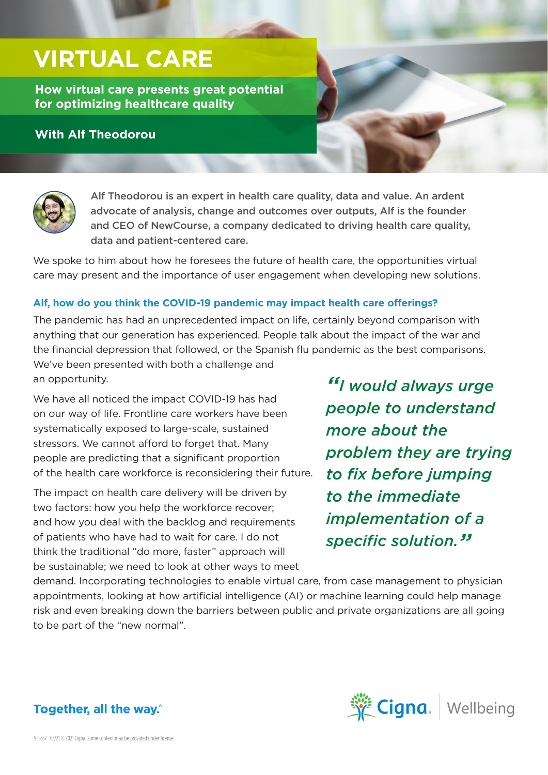# **VIRTUAL CARE**

**How virtual care presents great potential for optimizing healthcare quality**

### **With Alf Theodorou**





Alf Theodorou is an expert in health care quality, data and value. An ardent advocate of analysis, change and outcomes over outputs, Alf is the founder and CEO of NewCourse, a company dedicated to driving health care quality, data and patient-centered care.

We spoke to him about how he foresees the future of health care, the opportunities virtual care may present and the importance of user engagement when developing new solutions.

#### **Alf, how do you think the COVID-19 pandemic may impact health care offerings?**

The pandemic has had an unprecedented impact on life, certainly beyond comparison with anything that our generation has experienced. People talk about the impact of the war and the financial depression that followed, or the Spanish flu pandemic as the best comparisons.

We've been presented with both a challenge and an opportunity.

We have all noticed the impact COVID-19 has had on our way of life. Frontline care workers have been systematically exposed to large-scale, sustained stressors. We cannot afford to forget that. Many people are predicting that a significant proportion of the health care workforce is reconsidering their future.

The impact on health care delivery will be driven by two factors: how you help the workforce recover; and how you deal with the backlog and requirements of patients who have had to wait for care. I do not think the traditional "do more, faster" approach will be sustainable; we need to look at other ways to meet

*"I would always urge people to understand more about the problem they are trying to fix before jumping to the immediate implementation of a specific solution."*

demand. Incorporating technologies to enable virtual care, from case management to physician appointments, looking at how artificial intelligence (AI) or machine learning could help manage risk and even breaking down the barriers between public and private organizations are all going to be part of the "new normal".



## Together, all the way.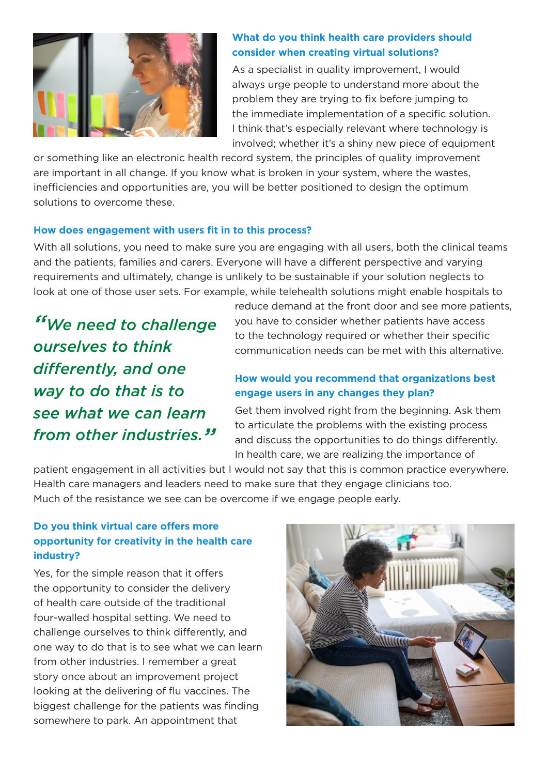

#### **What do you think health care providers should consider when creating virtual solutions?**

As a specialist in quality improvement, I would always urge people to understand more about the problem they are trying to fix before jumping to the immediate implementation of a specific solution. I think that's especially relevant where technology is involved; whether it's a shiny new piece of equipment

or something like an electronic health record system, the principles of quality improvement are important in all change. If you know what is broken in your system, where the wastes, inefficiencies and opportunities are, you will be better positioned to design the optimum solutions to overcome these.

#### **How does engagement with users fit in to this process?**

With all solutions, you need to make sure you are engaging with all users, both the clinical teams and the patients, families and carers. Everyone will have a different perspective and varying requirements and ultimately, change is unlikely to be sustainable if your solution neglects to look at one of those user sets. For example, while telehealth solutions might enable hospitals to

*"We need to challenge ourselves to think differently, and one way to do that is to see what we can learn from other industries."* reduce demand at the front door and see more patients, you have to consider whether patients have access to the technology required or whether their specific communication needs can be met with this alternative.

#### **How would you recommend that organizations best engage users in any changes they plan?**

Get them involved right from the beginning. Ask them to articulate the problems with the existing process and discuss the opportunities to do things differently. In health care, we are realizing the importance of

patient engagement in all activities but I would not say that this is common practice everywhere. Health care managers and leaders need to make sure that they engage clinicians too. Much of the resistance we see can be overcome if we engage people early.

#### **Do you think virtual care offers more opportunity for creativity in the health care industry?**

Yes, for the simple reason that it offers the opportunity to consider the delivery of health care outside of the traditional four-walled hospital setting. We need to challenge ourselves to think differently, and one way to do that is to see what we can learn from other industries. I remember a great story once about an improvement project looking at the delivering of flu vaccines. The biggest challenge for the patients was finding somewhere to park. An appointment that

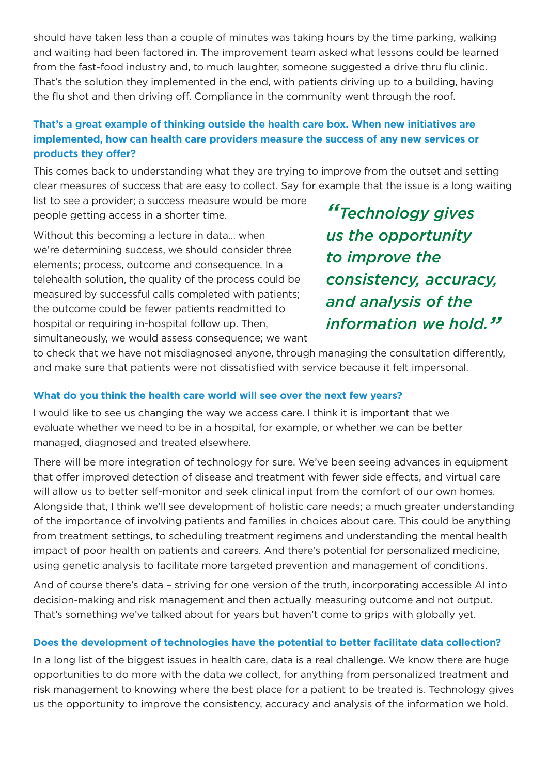should have taken less than a couple of minutes was taking hours by the time parking, walking and waiting had been factored in. The improvement team asked what lessons could be learned from the fast-food industry and, to much laughter, someone suggested a drive thru flu clinic. That's the solution they implemented in the end, with patients driving up to a building, having the flu shot and then driving off. Compliance in the community went through the roof.

#### **That's a great example of thinking outside the health care box. When new initiatives are implemented, how can health care providers measure the success of any new services or products they offer?**

This comes back to understanding what they are trying to improve from the outset and setting clear measures of success that are easy to collect. Say for example that the issue is a long waiting

list to see a provider; a success measure would be more people getting access in a shorter time.

Without this becoming a lecture in data… when we're determining success, we should consider three elements; process, outcome and consequence. In a telehealth solution, the quality of the process could be measured by successful calls completed with patients; the outcome could be fewer patients readmitted to hospital or requiring in-hospital follow up. Then, simultaneously, we would assess consequence; we want

*"Technology gives us the opportunity to improve the consistency, accuracy, and analysis of the information we hold."*

to check that we have not misdiagnosed anyone, through managing the consultation differently, and make sure that patients were not dissatisfied with service because it felt impersonal.

#### **What do you think the health care world will see over the next few years?**

I would like to see us changing the way we access care. I think it is important that we evaluate whether we need to be in a hospital, for example, or whether we can be better managed, diagnosed and treated elsewhere.

There will be more integration of technology for sure. We've been seeing advances in equipment that offer improved detection of disease and treatment with fewer side effects, and virtual care will allow us to better self-monitor and seek clinical input from the comfort of our own homes. Alongside that, I think we'll see development of holistic care needs; a much greater understanding of the importance of involving patients and families in choices about care. This could be anything from treatment settings, to scheduling treatment regimens and understanding the mental health impact of poor health on patients and careers. And there's potential for personalized medicine, using genetic analysis to facilitate more targeted prevention and management of conditions.

And of course there's data – striving for one version of the truth, incorporating accessible AI into decision-making and risk management and then actually measuring outcome and not output. That's something we've talked about for years but haven't come to grips with globally yet.

#### **Does the development of technologies have the potential to better facilitate data collection?**

In a long list of the biggest issues in health care, data is a real challenge. We know there are huge opportunities to do more with the data we collect, for anything from personalized treatment and risk management to knowing where the best place for a patient to be treated is. Technology gives us the opportunity to improve the consistency, accuracy and analysis of the information we hold.